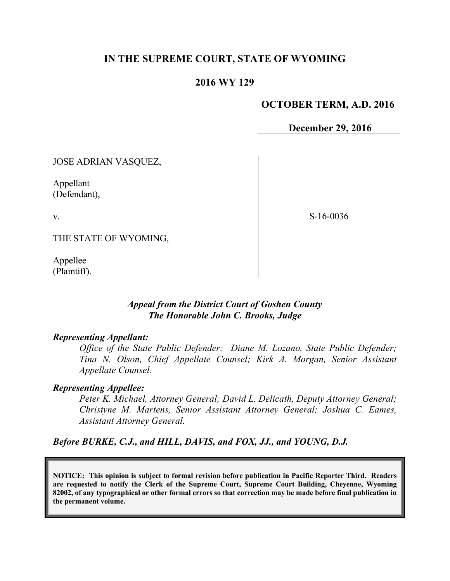# **IN THE SUPREME COURT, STATE OF WYOMING**

## **2016 WY 129**

#### **OCTOBER TERM, A.D. 2016**

**December 29, 2016**

JOSE ADRIAN VASQUEZ,

Appellant (Defendant),

v.

S-16-0036

THE STATE OF WYOMING,

Appellee (Plaintiff).

# *Appeal from the District Court of Goshen County The Honorable John C. Brooks, Judge*

#### *Representing Appellant:*

*Office of the State Public Defender: Diane M. Lozano, State Public Defender; Tina N. Olson, Chief Appellate Counsel; Kirk A. Morgan, Senior Assistant Appellate Counsel.*

## *Representing Appellee:*

*Peter K. Michael, Attorney General; David L. Delicath, Deputy Attorney General; Christyne M. Martens, Senior Assistant Attorney General; Joshua C. Eames, Assistant Attorney General.* 

*Before BURKE, C.J., and HILL, DAVIS, and FOX, JJ., and YOUNG, D.J.*

**NOTICE: This opinion is subject to formal revision before publication in Pacific Reporter Third. Readers are requested to notify the Clerk of the Supreme Court, Supreme Court Building, Cheyenne, Wyoming 82002, of any typographical or other formal errors so that correction may be made before final publication in the permanent volume.**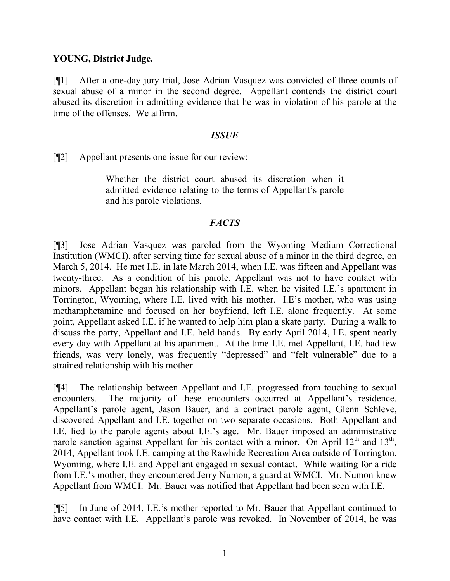# **YOUNG, District Judge.**

[¶1] After a one-day jury trial, Jose Adrian Vasquez was convicted of three counts of sexual abuse of a minor in the second degree. Appellant contends the district court abused its discretion in admitting evidence that he was in violation of his parole at the time of the offenses. We affirm.

## *ISSUE*

[¶2] Appellant presents one issue for our review:

Whether the district court abused its discretion when it admitted evidence relating to the terms of Appellant's parole and his parole violations.

# *FACTS*

[¶3] Jose Adrian Vasquez was paroled from the Wyoming Medium Correctional Institution (WMCI), after serving time for sexual abuse of a minor in the third degree, on March 5, 2014. He met I.E. in late March 2014, when I.E. was fifteen and Appellant was twenty-three. As a condition of his parole, Appellant was not to have contact with minors. Appellant began his relationship with I.E. when he visited I.E.'s apartment in Torrington, Wyoming, where I.E. lived with his mother. I.E's mother, who was using methamphetamine and focused on her boyfriend, left I.E. alone frequently. At some point, Appellant asked I.E. if he wanted to help him plan a skate party. During a walk to discuss the party, Appellant and I.E. held hands. By early April 2014, I.E. spent nearly every day with Appellant at his apartment. At the time I.E. met Appellant, I.E. had few friends, was very lonely, was frequently "depressed" and "felt vulnerable" due to a strained relationship with his mother.

[¶4] The relationship between Appellant and I.E. progressed from touching to sexual encounters. The majority of these encounters occurred at Appellant's residence. Appellant's parole agent, Jason Bauer, and a contract parole agent, Glenn Schleve, discovered Appellant and I.E. together on two separate occasions. Both Appellant and I.E. lied to the parole agents about I.E.'s age. Mr. Bauer imposed an administrative parole sanction against Appellant for his contact with a minor. On April  $12<sup>th</sup>$  and  $13<sup>th</sup>$ , 2014, Appellant took I.E. camping at the Rawhide Recreation Area outside of Torrington, Wyoming, where I.E. and Appellant engaged in sexual contact. While waiting for a ride from I.E.'s mother, they encountered Jerry Numon, a guard at WMCI. Mr. Numon knew Appellant from WMCI. Mr. Bauer was notified that Appellant had been seen with I.E.

[¶5] In June of 2014, I.E.'s mother reported to Mr. Bauer that Appellant continued to have contact with I.E. Appellant's parole was revoked. In November of 2014, he was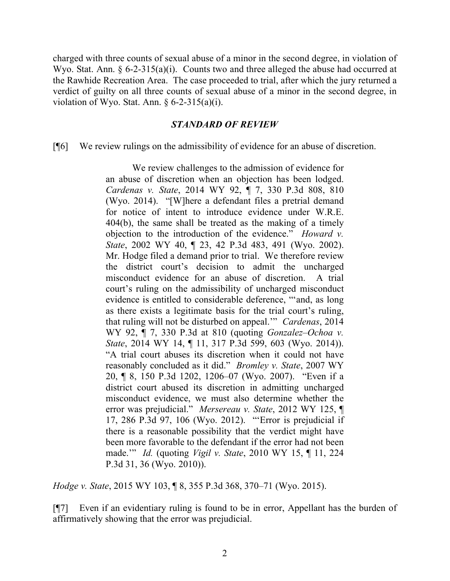charged with three counts of sexual abuse of a minor in the second degree, in violation of Wyo. Stat. Ann. § 6-2-315(a)(i). Counts two and three alleged the abuse had occurred at the Rawhide Recreation Area. The case proceeded to trial, after which the jury returned a verdict of guilty on all three counts of sexual abuse of a minor in the second degree, in violation of Wyo. Stat. Ann.  $\S 6-2-315(a)(i)$ .

## *STANDARD OF REVIEW*

[¶6] We review rulings on the admissibility of evidence for an abuse of discretion.

We review challenges to the admission of evidence for an abuse of discretion when an objection has been lodged. *Cardenas v. State*, 2014 WY 92, ¶ 7, 330 P.3d 808, 810 (Wyo. 2014). "[W]here a defendant files a pretrial demand for notice of intent to introduce evidence under W.R.E. 404(b), the same shall be treated as the making of a timely objection to the introduction of the evidence." *Howard v. State*, 2002 WY 40, ¶ 23, 42 P.3d 483, 491 (Wyo. 2002). Mr. Hodge filed a demand prior to trial. We therefore review the district court's decision to admit the uncharged misconduct evidence for an abuse of discretion. A trial court's ruling on the admissibility of uncharged misconduct evidence is entitled to considerable deference, "'and, as long as there exists a legitimate basis for the trial court's ruling, that ruling will not be disturbed on appeal.'" *Cardenas*, 2014 WY 92, ¶ 7, 330 P.3d at 810 (quoting *Gonzalez–Ochoa v. State*, 2014 WY 14, ¶ 11, 317 P.3d 599, 603 (Wyo. 2014)). "A trial court abuses its discretion when it could not have reasonably concluded as it did." *Bromley v. State*, 2007 WY 20, ¶ 8, 150 P.3d 1202, 1206–07 (Wyo. 2007). "Even if a district court abused its discretion in admitting uncharged misconduct evidence, we must also determine whether the error was prejudicial." *Mersereau v. State*, 2012 WY 125, ¶ 17, 286 P.3d 97, 106 (Wyo. 2012). "'Error is prejudicial if there is a reasonable possibility that the verdict might have been more favorable to the defendant if the error had not been made.'" *Id.* (quoting *Vigil v. State*, 2010 WY 15, ¶ 11, 224 P.3d 31, 36 (Wyo. 2010)).

*Hodge v. State*, 2015 WY 103, ¶ 8, 355 P.3d 368, 370–71 (Wyo. 2015).

[¶7] Even if an evidentiary ruling is found to be in error, Appellant has the burden of affirmatively showing that the error was prejudicial.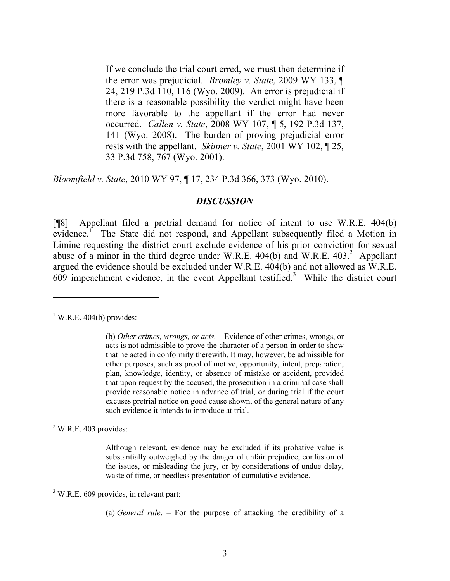If we conclude the trial court erred, we must then determine if the error was prejudicial. *Bromley v. State*, 2009 WY 133, ¶ 24, 219 P.3d 110, 116 (Wyo. 2009). An error is prejudicial if there is a reasonable possibility the verdict might have been more favorable to the appellant if the error had never occurred. *Callen v. State*, 2008 WY 107, ¶ 5, 192 P.3d 137, 141 (Wyo. 2008). The burden of proving prejudicial error rests with the appellant. *Skinner v. State*, 2001 WY 102, ¶ 25, 33 P.3d 758, 767 (Wyo. 2001).

*Bloomfield v. State*, 2010 WY 97, ¶ 17, 234 P.3d 366, 373 (Wyo. 2010).

#### *DISCUSSION*

[¶8] Appellant filed a pretrial demand for notice of intent to use W.R.E. 404(b) evidence.<sup>1</sup> The State did not respond, and Appellant subsequently filed a Motion in Limine requesting the district court exclude evidence of his prior conviction for sexual abuse of a minor in the third degree under W.R.E.  $404(b)$  and W.R.E.  $403<sup>2</sup>$  Appellant argued the evidence should be excluded under W.R.E. 404(b) and not allowed as W.R.E.  $609$  impeachment evidence, in the event Appellant testified.<sup>3</sup> While the district court

 $1$  W.R.E. 404(b) provides:

 $\overline{a}$ 

 $2$  W.R.E. 403 provides:

Although relevant, evidence may be excluded if its probative value is substantially outweighed by the danger of unfair prejudice, confusion of the issues, or misleading the jury, or by considerations of undue delay, waste of time, or needless presentation of cumulative evidence.

 $3$  W.R.E. 609 provides, in relevant part:

(a) *General rule*. – For the purpose of attacking the credibility of a

<sup>(</sup>b) *Other crimes, wrongs, or acts*. – Evidence of other crimes, wrongs, or acts is not admissible to prove the character of a person in order to show that he acted in conformity therewith. It may, however, be admissible for other purposes, such as proof of motive, opportunity, intent, preparation, plan, knowledge, identity, or absence of mistake or accident, provided that upon request by the accused, the prosecution in a criminal case shall provide reasonable notice in advance of trial, or during trial if the court excuses pretrial notice on good cause shown, of the general nature of any such evidence it intends to introduce at trial.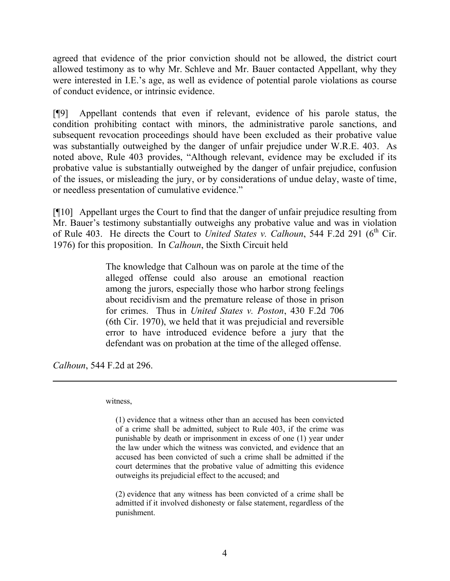agreed that evidence of the prior conviction should not be allowed, the district court allowed testimony as to why Mr. Schleve and Mr. Bauer contacted Appellant, why they were interested in I.E.'s age, as well as evidence of potential parole violations as course of conduct evidence, or intrinsic evidence.

[¶9] Appellant contends that even if relevant, evidence of his parole status, the condition prohibiting contact with minors, the administrative parole sanctions, and subsequent revocation proceedings should have been excluded as their probative value was substantially outweighed by the danger of unfair prejudice under W.R.E. 403. As noted above, Rule 403 provides, "Although relevant, evidence may be excluded if its probative value is substantially outweighed by the danger of unfair prejudice, confusion of the issues, or misleading the jury, or by considerations of undue delay, waste of time, or needless presentation of cumulative evidence."

[¶10] Appellant urges the Court to find that the danger of unfair prejudice resulting from Mr. Bauer's testimony substantially outweighs any probative value and was in violation of Rule 403. He directs the Court to *United States v. Calhoun*, 544 F.2d 291 (6<sup>th</sup> Cir. 1976) for this proposition. In *Calhoun*, the Sixth Circuit held

> The knowledge that Calhoun was on parole at the time of the alleged offense could also arouse an emotional reaction among the jurors, especially those who harbor strong feelings about recidivism and the premature release of those in prison for crimes. Thus in *United States v. Poston*, 430 F.2d 706 (6th Cir. 1970), we held that it was prejudicial and reversible error to have introduced evidence before a jury that the defendant was on probation at the time of the alleged offense.

*Calhoun*, 544 F.2d at 296.

witness,

(2) evidence that any witness has been convicted of a crime shall be admitted if it involved dishonesty or false statement, regardless of the punishment.

<sup>(1)</sup> evidence that a witness other than an accused has been convicted of a crime shall be admitted, subject to Rule 403, if the crime was punishable by death or imprisonment in excess of one (1) year under the law under which the witness was convicted, and evidence that an accused has been convicted of such a crime shall be admitted if the court determines that the probative value of admitting this evidence outweighs its prejudicial effect to the accused; and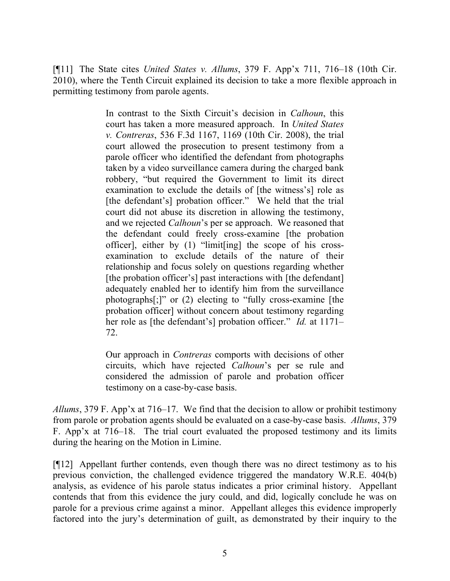[¶11] The State cites *United States v. Allums*, 379 F. App'x 711, 716–18 (10th Cir. 2010), where the Tenth Circuit explained its decision to take a more flexible approach in permitting testimony from parole agents.

> In contrast to the Sixth Circuit's decision in *Calhoun*, this court has taken a more measured approach. In *United States v. Contreras*, 536 F.3d 1167, 1169 (10th Cir. 2008), the trial court allowed the prosecution to present testimony from a parole officer who identified the defendant from photographs taken by a video surveillance camera during the charged bank robbery, "but required the Government to limit its direct examination to exclude the details of [the witness's] role as [the defendant's] probation officer." We held that the trial court did not abuse its discretion in allowing the testimony, and we rejected *Calhoun*'s per se approach. We reasoned that the defendant could freely cross-examine [the probation officer], either by (1) "limit[ing] the scope of his crossexamination to exclude details of the nature of their relationship and focus solely on questions regarding whether [the probation officer's] past interactions with [the defendant] adequately enabled her to identify him from the surveillance photographs[;]" or (2) electing to "fully cross-examine [the probation officer] without concern about testimony regarding her role as [the defendant's] probation officer." *Id.* at 1171– 72.

> Our approach in *Contreras* comports with decisions of other circuits, which have rejected *Calhoun*'s per se rule and considered the admission of parole and probation officer testimony on a case-by-case basis.

*Allums*, 379 F. App'x at 716–17. We find that the decision to allow or prohibit testimony from parole or probation agents should be evaluated on a case-by-case basis. *Allums*, 379 F. App'x at 716–18. The trial court evaluated the proposed testimony and its limits during the hearing on the Motion in Limine.

[¶12] Appellant further contends, even though there was no direct testimony as to his previous conviction, the challenged evidence triggered the mandatory W.R.E. 404(b) analysis, as evidence of his parole status indicates a prior criminal history. Appellant contends that from this evidence the jury could, and did, logically conclude he was on parole for a previous crime against a minor. Appellant alleges this evidence improperly factored into the jury's determination of guilt, as demonstrated by their inquiry to the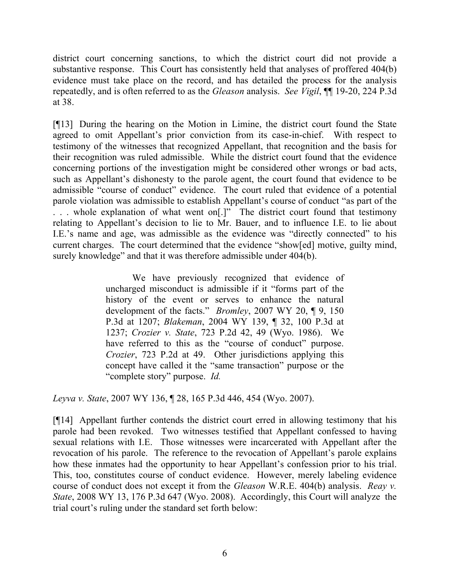district court concerning sanctions, to which the district court did not provide a substantive response. This Court has consistently held that analyses of proffered 404(b) evidence must take place on the record, and has detailed the process for the analysis repeatedly, and is often referred to as the *Gleason* analysis. *See Vigil*, ¶¶ 19-20, 224 P.3d at 38.

[¶13] During the hearing on the Motion in Limine, the district court found the State agreed to omit Appellant's prior conviction from its case-in-chief. With respect to testimony of the witnesses that recognized Appellant, that recognition and the basis for their recognition was ruled admissible. While the district court found that the evidence concerning portions of the investigation might be considered other wrongs or bad acts, such as Appellant's dishonesty to the parole agent, the court found that evidence to be admissible "course of conduct" evidence. The court ruled that evidence of a potential parole violation was admissible to establish Appellant's course of conduct "as part of the ... whole explanation of what went on[.]" The district court found that testimony relating to Appellant's decision to lie to Mr. Bauer, and to influence I.E. to lie about I.E.'s name and age, was admissible as the evidence was "directly connected" to his current charges. The court determined that the evidence "show[ed] motive, guilty mind, surely knowledge" and that it was therefore admissible under 404(b).

> We have previously recognized that evidence of uncharged misconduct is admissible if it "forms part of the history of the event or serves to enhance the natural development of the facts." *Bromley*, 2007 WY 20, ¶ 9, 150 P.3d at 1207; *Blakeman*, 2004 WY 139, ¶ 32, 100 P.3d at 1237; *Crozier v. State*, 723 P.2d 42, 49 (Wyo. 1986). We have referred to this as the "course of conduct" purpose. *Crozier*, 723 P.2d at 49. Other jurisdictions applying this concept have called it the "same transaction" purpose or the "complete story" purpose. *Id.*

*Leyva v. State*, 2007 WY 136, ¶ 28, 165 P.3d 446, 454 (Wyo. 2007).

[¶14] Appellant further contends the district court erred in allowing testimony that his parole had been revoked. Two witnesses testified that Appellant confessed to having sexual relations with I.E. Those witnesses were incarcerated with Appellant after the revocation of his parole. The reference to the revocation of Appellant's parole explains how these inmates had the opportunity to hear Appellant's confession prior to his trial. This, too, constitutes course of conduct evidence. However, merely labeling evidence course of conduct does not except it from the *Gleason* W.R.E. 404(b) analysis. *Reay v. State*, 2008 WY 13, 176 P.3d 647 (Wyo. 2008). Accordingly, this Court will analyze the trial court's ruling under the standard set forth below: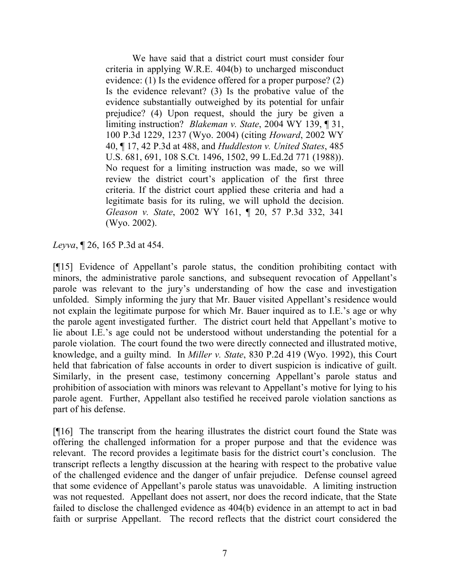We have said that a district court must consider four criteria in applying W.R.E. 404(b) to uncharged misconduct evidence: (1) Is the evidence offered for a proper purpose? (2) Is the evidence relevant? (3) Is the probative value of the evidence substantially outweighed by its potential for unfair prejudice? (4) Upon request, should the jury be given a limiting instruction? *Blakeman v. State*, 2004 WY 139, ¶ 31, 100 P.3d 1229, 1237 (Wyo. 2004) (citing *Howard*, 2002 WY 40, ¶ 17, 42 P.3d at 488, and *Huddleston v. United States*, 485 U.S. 681, 691, 108 S.Ct. 1496, 1502, 99 L.Ed.2d 771 (1988)). No request for a limiting instruction was made, so we will review the district court's application of the first three criteria. If the district court applied these criteria and had a legitimate basis for its ruling, we will uphold the decision. *Gleason v. State*, 2002 WY 161, ¶ 20, 57 P.3d 332, 341 (Wyo. 2002).

*Leyva*, ¶ 26, 165 P.3d at 454.

[¶15] Evidence of Appellant's parole status, the condition prohibiting contact with minors, the administrative parole sanctions, and subsequent revocation of Appellant's parole was relevant to the jury's understanding of how the case and investigation unfolded. Simply informing the jury that Mr. Bauer visited Appellant's residence would not explain the legitimate purpose for which Mr. Bauer inquired as to I.E.'s age or why the parole agent investigated further. The district court held that Appellant's motive to lie about I.E.'s age could not be understood without understanding the potential for a parole violation. The court found the two were directly connected and illustrated motive, knowledge, and a guilty mind. In *Miller v. State*, 830 P.2d 419 (Wyo. 1992), this Court held that fabrication of false accounts in order to divert suspicion is indicative of guilt. Similarly, in the present case, testimony concerning Appellant's parole status and prohibition of association with minors was relevant to Appellant's motive for lying to his parole agent. Further, Appellant also testified he received parole violation sanctions as part of his defense.

[¶16] The transcript from the hearing illustrates the district court found the State was offering the challenged information for a proper purpose and that the evidence was relevant. The record provides a legitimate basis for the district court's conclusion. The transcript reflects a lengthy discussion at the hearing with respect to the probative value of the challenged evidence and the danger of unfair prejudice. Defense counsel agreed that some evidence of Appellant's parole status was unavoidable. A limiting instruction was not requested. Appellant does not assert, nor does the record indicate, that the State failed to disclose the challenged evidence as 404(b) evidence in an attempt to act in bad faith or surprise Appellant. The record reflects that the district court considered the